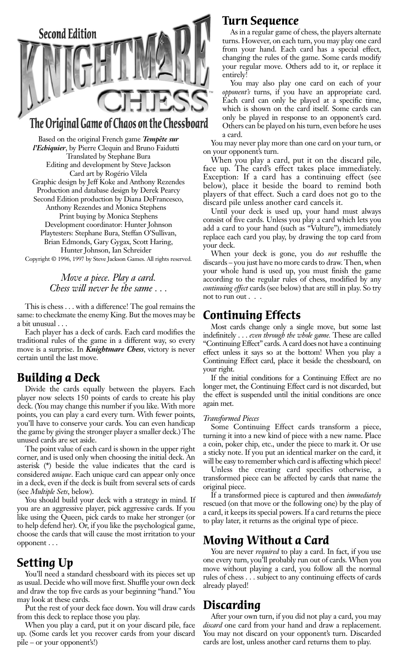

### The Original Game of Chaos on the Chessboard

Based on the original French game *Tempête sur l'Echiquier*, by Pierre Clequin and Bruno Faidutti Translated by Stephane Bura Editing and development by Steve Jackson Card art by Rogério Vilela Graphic design by Jeff Koke and Anthony Rezendes Production and database design by Derek Pearcy Second Edition production by Diana DeFrancesco, Anthony Rezendes and Monica Stephens Print buying by Monica Stephens Development coordinator: Hunter Johnson Playtesters: Stephane Bura, Steffan O'Sullivan, Brian Edmonds, Gary Gygax, Scott Haring, Hunter Johnson, Ian Schreider

Copyright © 1996, 1997 by Steve Jackson Games. All rights reserved.

#### *Move a piece. Play a card. Chess will never be the same . . .*

This is chess . . . with a difference! The goal remains the same: to checkmate the enemy King. But the moves may be a bit unusual . . .

Each player has a deck of cards. Each card modifies the traditional rules of the game in a different way, so every move is a surprise. In *Knightmare Chess*, victory is never certain until the last move.

#### **Building a Deck**

Divide the cards equally between the players. Each player now selects 150 points of cards to create his play deck. (You may change this number if you like. With more points, you can play a card every turn. With fewer points, you'll have to conserve your cards. You can even handicap the game by giving the stronger player a smaller deck.) The unused cards are set aside.

The point value of each card is shown in the upper right corner, and is used only when choosing the initial deck. An asterisk (**\***) beside the value indicates that the card is considered *unique*. Each unique card can appear only once in a deck, even if the deck is built from several sets of cards (see *Multiple Sets*, below).

You should build your deck with a strategy in mind. If you are an aggressive player, pick aggressive cards. If you like using the Queen, pick cards to make her stronger (or to help defend her). Or, if you like the psychological game, choose the cards that will cause the most irritation to your opponent . . .

### **Setting Up**

You'll need a standard chessboard with its pieces set up as usual. Decide who will move first. Shuffle your own deck and draw the top five cards as your beginning "hand." You may look at these cards.

Put the rest of your deck face down. You will draw cards from this deck to replace those you play.

When you play a card, put it on your discard pile, face up. (Some cards let you recover cards from your discard pile – or your opponent's!)

#### **Turn Sequence**

As in a regular game of chess, the players alternate turns. However, on each turn, you may play one card from your hand. Each card has a special effect, changing the rules of the game. Some cards modify your regular move. Others add to it, or replace it entirely!

You may also play one card on each of your *opponent's* turns, if you have an appropriate card. Each card can only be played at a specific time, which is shown on the card itself. Some cards can only be played in response to an opponent's card. Others can be played on his turn, even before he uses a card.

You may never play more than one card on your turn, or on your opponent's turn.

When you play a card, put it on the discard pile, face up. The card's effect takes place immediately. Exception: If a card has a continuing effect (see below), place it beside the board to remind both players of that effect. Such a card does not go to the discard pile unless another card cancels it.

Until your deck is used up, your hand must always consist of five cards. Unless you play a card which lets you add a card to your hand (such as "Vulture"), immediately replace each card you play, by drawing the top card from your deck.

When your deck is gone, you do *not* reshuffle the discards – you just have no more cards to draw. Then, when your whole hand is used up, you must finish the game according to the regular rules of chess, modified by any *continuing effect* cards (see below) that are still in play. So try not to run out . . .

### **Continuing Effects**

Most cards change only a single move, but some last indefinitely . . . *even through the whole game.* These are called "Continuing Effect" cards. A card does not have a continuing effect unless it says so at the bottom! When you play a Continuing Effect card, place it beside the chessboard, on your right.

If the initial conditions for a Continuing Effect are no longer met, the Continuing Effect card is not discarded, but the effect is suspended until the initial conditions are once again met.

#### *Transformed Pieces*

Some Continuing Effect cards transform a piece, turning it into a new kind of piece with a new name. Place a coin, poker chip, etc., under the piece to mark it. Or use a sticky note. If you put an identical marker on the card, it will be easy to remember which card is affecting which piece!

Unless the creating card specifies otherwise, a transformed piece can be affected by cards that name the original piece.

If a transformed piece is captured and then *immediately* rescued (on that move or the following one) by the play of a card, it keeps its special powers. If a card returns the piece to play later, it returns as the original type of piece.

### **Moving Without a Card**

You are never *required* to play a card. In fact, if you use one every turn, you'll probably run out of cards. When you move without playing a card, you follow all the normal rules of chess . . . subject to any continuing effects of cards already played!

### **Discarding**

After your own turn, if you did not play a card, you may *discard* one card from your hand and draw a replacement. You may not discard on your opponent's turn. Discarded cards are lost, unless another card returns them to play.